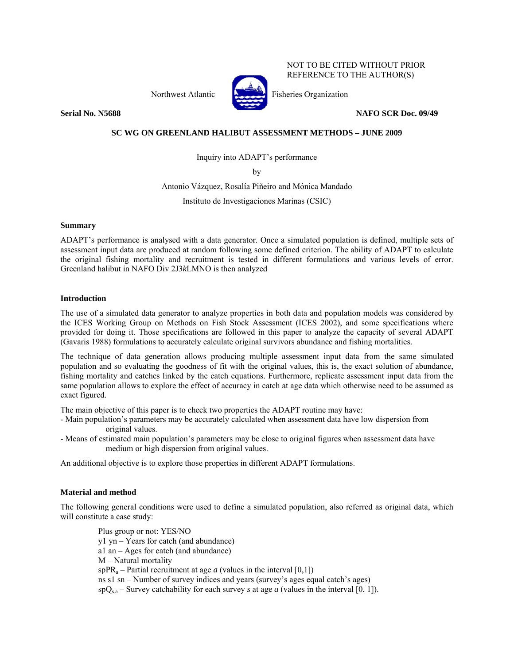Northwest Atlantic Fisheries Organization



NOT TO BE CITED WITHOUT PRIOR REFERENCE TO THE AUTHOR(S)

**Serial No. N5688** NAFO SCR Doc. 09/49

# **SC WG ON GREENLAND HALIBUT ASSESSMENT METHODS – JUNE 2009**

Inquiry into ADAPT's performance

by

Antonio Vázquez, Rosalía Piñeiro and Mónica Mandado

Instituto de Investigaciones Marinas (CSIC)

## **Summary**

ADAPT's performance is analysed with a data generator. Once a simulated population is defined, multiple sets of assessment input data are produced at random following some defined criterion. The ability of ADAPT to calculate the original fishing mortality and recruitment is tested in different formulations and various levels of error. Greenland halibut in NAFO Div 2J3*k*LMNO is then analyzed

## **Introduction**

The use of a simulated data generator to analyze properties in both data and population models was considered by the ICES Working Group on Methods on Fish Stock Assessment (ICES 2002), and some specifications where provided for doing it. Those specifications are followed in this paper to analyze the capacity of several ADAPT (Gavaris 1988) formulations to accurately calculate original survivors abundance and fishing mortalities.

The technique of data generation allows producing multiple assessment input data from the same simulated population and so evaluating the goodness of fit with the original values, this is, the exact solution of abundance, fishing mortality and catches linked by the catch equations. Furthermore, replicate assessment input data from the same population allows to explore the effect of accuracy in catch at age data which otherwise need to be assumed as exact figured.

The main objective of this paper is to check two properties the ADAPT routine may have:

- Main population's parameters may be accurately calculated when assessment data have low dispersion from original values.
- Means of estimated main population's parameters may be close to original figures when assessment data have medium or high dispersion from original values.

An additional objective is to explore those properties in different ADAPT formulations.

## **Material and method**

The following general conditions were used to define a simulated population, also referred as original data, which will constitute a case study:

Plus group or not: YES/NO y1 yn – Years for catch (and abundance) a1 an – Ages for catch (and abundance) M – Natural mortality spPR<sub>a</sub> – Partial recruitment at age *a* (values in the interval [0,1]) ns s1 sn – Number of survey indices and years (survey's ages equal catch's ages)  $spQ_{s,a}$  – Survey catchability for each survey *s* at age *a* (values in the interval [0, 1]).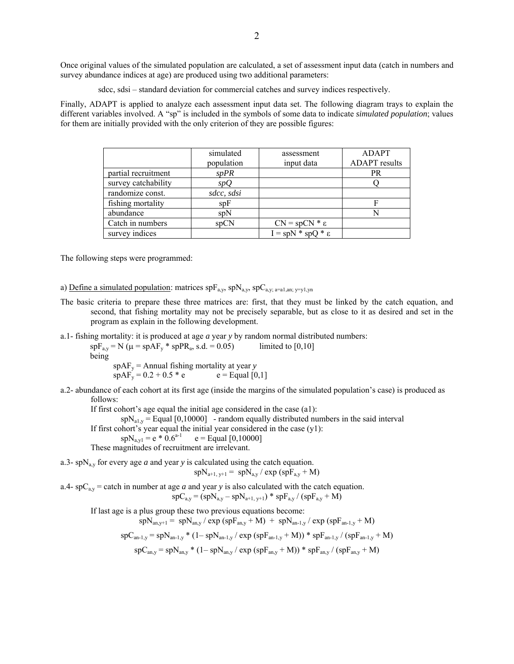Once original values of the simulated population are calculated, a set of assessment input data (catch in numbers and survey abundance indices at age) are produced using two additional parameters:

sdcc, sdsi – standard deviation for commercial catches and survey indices respectively.

Finally, ADAPT is applied to analyze each assessment input data set. The following diagram trays to explain the different variables involved. A "sp" is included in the symbols of some data to indicate *simulated population*; values for them are initially provided with the only criterion of they are possible figures:

|                     | simulated<br>population | assessment<br>input data   | <b>ADAPT</b><br><b>ADAPT</b> results |
|---------------------|-------------------------|----------------------------|--------------------------------------|
| partial recruitment | spPR                    |                            | <b>PR</b>                            |
| survey catchability | spQ                     |                            |                                      |
| randomize const.    | sdcc, sdsi              |                            |                                      |
| fishing mortality   | spF                     |                            | F                                    |
| abundance           | SDN                     |                            | N                                    |
| Catch in numbers    | spCN                    | $CN = spCN * \varepsilon$  |                                      |
| survey indices      |                         | $I = spN * spQ * \epsilon$ |                                      |

The following steps were programmed:

a) Define a simulated population: matrices  $spF_{a,y}$ ,  $spN_{a,y}$ ,  $spC_{a,y; a=a1, an; y=y1, yn}$ 

- The basic criteria to prepare these three matrices are: first, that they must be linked by the catch equation, and second, that fishing mortality may not be precisely separable, but as close to it as desired and set in the program as explain in the following development.
- a.1- fishing mortality: it is produced at age *a* year *y* by random normal distributed numbers:

 $spf<sub>av</sub> = N (\mu = spAF<sub>v</sub> * spPR<sub>a</sub>, s.d. = 0.05)$  limited to [0,10] being  $s_{\text{p}} = A$ nnual fishing mortality at year *y*<br> $s_{\text{p}} = 0.2 + 0.5 * e$   $e =$  Equal [0.1]  $\sin AF_v = 0.2 + 0.5 * e$ 

a.2- abundance of each cohort at its first age (inside the margins of the simulated population's case) is produced as follows:

If first cohort's age equal the initial age considered in the case (a1):

 $s p N_{a1,y} =$  Equal [0,10000] - random equally distributed numbers in the said interval

If first cohort's year equal the initial year considered in the case  $(y1)$ :

 $spN_{a,y1} = e * 0.6^{a-1}$   $e =$  Equal [0,10000]

These magnitudes of recruitment are irrelevant.

a.3- spN<sub>a,y</sub> for every age *a* and year *y* is calculated using the catch equation.  $s p N_{a+1, y+1} = s p N_{a,y} / \exp (s p F_{a,y} + M)$ 

a.4-  $spC_{a,y}$  = catch in number at age *a* and year *y* is also calculated with the catch equation.  $spC_{a,y} = (spN_{a,y} - spN_{a+1, y+1}) * spF_{a,y} / (spF_{a,y} + M)$ 

If last age is a plus group these two previous equations become:

 $spN_{an,y+1} = spN_{an,y} / exp (spF_{an,y} + M) + spN_{an-1,y} / exp (spF_{an-1,y} + M)$ 

$$
spC_{an\text{-}1,y} = spN_{an\text{-}1,y} * (1 - spN_{an\text{-}1,y} / \exp{(spF_{an\text{-}1,y} + M)}) * spF_{an\text{-}1,y} / (spF_{an\text{-}1,y} + M)
$$

 $spC_{an,v} = spN_{an,v} * (1 - spN_{an,v} / exp (spF_{an,v} + M)) * spF_{an,v} / (spF_{an,v} + M)$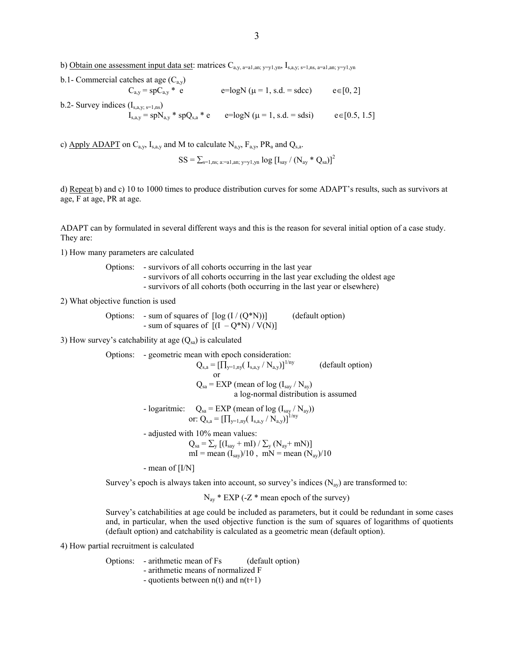b) Obtain one assessment input data set: matrices  $C_{a,y, a=a1, an; y=y1, yn}$ ,  $I_{s,a,y; s=1, ns, a=a1, an; y=y1, yn}$ 

b.1- Commercial catches at age  $(C_{a,y})$  $C_{a,y} = spC_{a,y} * e^{-logN} (\mu = 1, s.d. = sdec)$   $e \in [0, 2]$ b.2- Survey indices  $(I_{s,a,y;\,s=1,ns})$  $I_{s,a,y} = spN_{a,y} * spQ_{s,a} * e$  e =logN ( $\mu = 1$ , s.d. = sdsi) e∈[0.5, 1.5]

c) Apply ADAPT on  $C_{a,y}$ ,  $I_{s,a,y}$  and M to calculate  $N_{a,y}$ ,  $F_{a,y}$ , PR<sub>a</sub> and  $Q_{s,a}$ .

 $SS = \sum_{s=1,ns; a:=a1,an; y=v1,yn} \log [I_{say} / (N_{ay} * Q_{sa})]^2$ 

d) Repeat b) and c) 10 to 1000 times to produce distribution curves for some ADAPT's results, such as survivors at age, F at age, PR at age.

ADAPT can by formulated in several different ways and this is the reason for several initial option of a case study. They are:

1) How many parameters are calculated

Options: - survivors of all cohorts occurring in the last year

- survivors of all cohorts occurring in the last year excluding the oldest age

- survivors of all cohorts (both occurring in the last year or elsewhere)

2) What objective function is used

Options: - sum of squares of  $\lceil \log (I/(Q*N)) \rceil$  (default option) - sum of squares of  $[(I - Q^*N) / V(N)]$ 

3) How survey's catchability at age  $(Q_{sa})$  is calculated

Options: - geometric mean with epoch consideration:

\n
$$
Q_{s,a} = \left[\prod_{y=1, n y} (I_{s,a,y} / N_{a,y})\right]^{1/ny}
$$
\n(default option)

\nor

\n
$$
Q_{sa} = EXP \text{ (mean of log } (I_{say} / N_{a,y})
$$
\na log-normal distribution is assumed

\n- logarithmic:

\n
$$
Q_{sa} = EXP \text{ (mean of log } (I_{say} / N_{a,y}))
$$
\nor: Q<sub>s,a</sub> =  $\left[\prod_{y=1, n y} (I_{s,a,y} / N_{a,y})\right]^{1/ny}$ 

- adjusted with 10% mean values:

$$
Q_{sa} = \sum_{y} \left[ (I_{say} + mI) / \sum_{y} (N_{ay} + mN) \right]
$$
  
ml = mean  $(I_{say})/10$ ,  $mN$  = mean  $(N_{ay})/10$ 

- mean of [I/N]

Survey's epoch is always taken into account, so survey's indices  $(N_{av})$  are transformed to:

 $N_{av}$  \* EXP (-Z \* mean epoch of the survey)

Survey's catchabilities at age could be included as parameters, but it could be redundant in some cases and, in particular, when the used objective function is the sum of squares of logarithms of quotients (default option) and catchability is calculated as a geometric mean (default option).

4) How partial recruitment is calculated

Options: - arithmetic mean of Fs (default option)

- arithmetic means of normalized F
- quotients between  $n(t)$  and  $n(t+1)$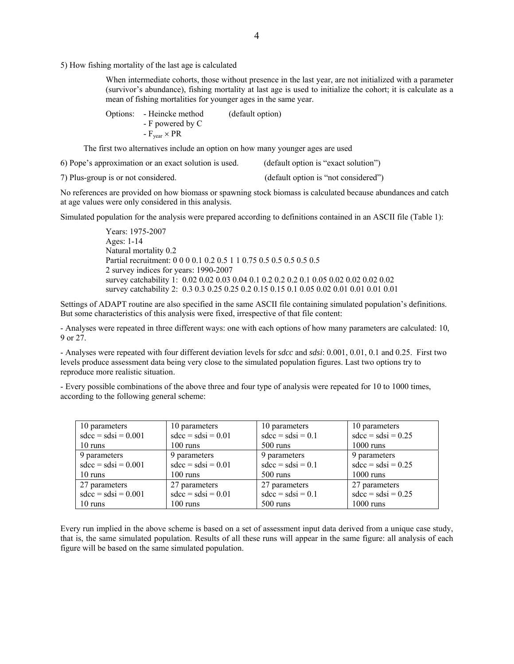5) How fishing mortality of the last age is calculated

When intermediate cohorts, those without presence in the last year, are not initialized with a parameter (survivor's abundance), fishing mortality at last age is used to initialize the cohort; it is calculate as a mean of fishing mortalities for younger ages in the same year.

| Options: - Heincke method    | (default option) |
|------------------------------|------------------|
| - F powered by C             |                  |
| $-F_{\text{year}} \times PR$ |                  |

The first two alternatives include an option on how many younger ages are used

6) Pope's approximation or an exact solution is used. (default option is "exact solution")

7) Plus-group is or not considered. (default option is "not considered")

No references are provided on how biomass or spawning stock biomass is calculated because abundances and catch at age values were only considered in this analysis.

Simulated population for the analysis were prepared according to definitions contained in an ASCII file (Table 1):

Years: 1975-2007 Ages: 1-14 Natural mortality 0.2 Partial recruitment: 0 0 0 0.1 0.2 0.5 1 1 0.75 0.5 0.5 0.5 0.5 0.5 2 survey indices for years: 1990-2007 survey catchability 1: 0.02 0.02 0.03 0.04 0.1 0.2 0.2 0.2 0.1 0.05 0.02 0.02 0.02 0.02 survey catchability 2: 0.3 0.3 0.25 0.25 0.2 0.15 0.15 0.1 0.05 0.02 0.01 0.01 0.01 0.01

Settings of ADAPT routine are also specified in the same ASCII file containing simulated population's definitions. But some characteristics of this analysis were fixed, irrespective of that file content:

- Analyses were repeated in three different ways: one with each options of how many parameters are calculated: 10, 9 or 27.

- Analyses were repeated with four different deviation levels for *sdcc* and *sdsi*: 0.001, 0.01, 0.1 and 0.25. First two levels produce assessment data being very close to the simulated population figures. Last two options try to reproduce more realistic situation.

- Every possible combinations of the above three and four type of analysis were repeated for 10 to 1000 times, according to the following general scheme:

| 10 parameters         | 10 parameters        | 10 parameters       | 10 parameters        |
|-----------------------|----------------------|---------------------|----------------------|
| $sdcc = sdsi = 0.001$ | $sdcc = sdsi = 0.01$ | $sdcc = sdsi = 0.1$ | $sdcc = sdsi = 0.25$ |
| 10 runs               | $100 \text{ runs}$   | $500 \text{ runs}$  | $1000 \text{ runs}$  |
| 9 parameters          | 9 parameters         | 9 parameters        | 9 parameters         |
| $sdcc = sdsi = 0.001$ | $sdcc = sdsi = 0.01$ | $sdcc = sdsi = 0.1$ | $sdcc = sdsi = 0.25$ |
| 10 runs               | $100 \text{ runs}$   | $500 \text{ runs}$  | $1000 \text{ runs}$  |
| 27 parameters         | 27 parameters        | 27 parameters       | 27 parameters        |
| $sdcc = sdsi = 0.001$ | $sdcc = sdsi = 0.01$ | $sdcc = sdsi = 0.1$ | $sdcc = sdsi = 0.25$ |
| 10 runs               | $100 \text{ runs}$   | $500 \text{ runs}$  | $1000 \text{ runs}$  |

Every run implied in the above scheme is based on a set of assessment input data derived from a unique case study, that is, the same simulated population. Results of all these runs will appear in the same figure: all analysis of each figure will be based on the same simulated population.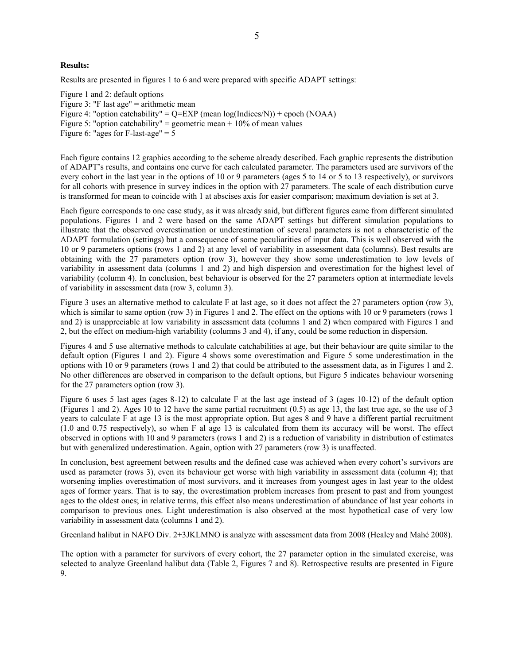#### **Results:**

Results are presented in figures 1 to 6 and were prepared with specific ADAPT settings:

Figure 1 and 2: default options Figure 3: "F last age"  $=$  arithmetic mean Figure 4: "option catchability" = Q=EXP (mean log(Indices/N)) + epoch (NOAA) Figure 5: "option catchability" = geometric mean +  $10\%$  of mean values Figure 6: "ages for F-last-age"  $= 5$ 

Each figure contains 12 graphics according to the scheme already described. Each graphic represents the distribution of ADAPT's results, and contains one curve for each calculated parameter. The parameters used are survivors of the every cohort in the last year in the options of 10 or 9 parameters (ages 5 to 14 or 5 to 13 respectively), or survivors for all cohorts with presence in survey indices in the option with 27 parameters. The scale of each distribution curve is transformed for mean to coincide with 1 at abscises axis for easier comparison; maximum deviation is set at 3.

Each figure corresponds to one case study, as it was already said, but different figures came from different simulated populations. Figures 1 and 2 were based on the same ADAPT settings but different simulation populations to illustrate that the observed overestimation or underestimation of several parameters is not a characteristic of the ADAPT formulation (settings) but a consequence of some peculiarities of input data. This is well observed with the 10 or 9 parameters options (rows 1 and 2) at any level of variability in assessment data (columns). Best results are obtaining with the 27 parameters option (row 3), however they show some underestimation to low levels of variability in assessment data (columns 1 and 2) and high dispersion and overestimation for the highest level of variability (column 4). In conclusion, best behaviour is observed for the 27 parameters option at intermediate levels of variability in assessment data (row 3, column 3).

Figure 3 uses an alternative method to calculate F at last age, so it does not affect the 27 parameters option (row 3), which is similar to same option (row 3) in Figures 1 and 2. The effect on the options with 10 or 9 parameters (rows 1) and 2) is unappreciable at low variability in assessment data (columns 1 and 2) when compared with Figures 1 and 2, but the effect on medium-high variability (columns 3 and 4), if any, could be some reduction in dispersion.

Figures 4 and 5 use alternative methods to calculate catchabilities at age, but their behaviour are quite similar to the default option (Figures 1 and 2). Figure 4 shows some overestimation and Figure 5 some underestimation in the options with 10 or 9 parameters (rows 1 and 2) that could be attributed to the assessment data, as in Figures 1 and 2. No other differences are observed in comparison to the default options, but Figure 5 indicates behaviour worsening for the 27 parameters option (row 3).

Figure 6 uses 5 last ages (ages 8-12) to calculate F at the last age instead of 3 (ages 10-12) of the default option (Figures 1 and 2). Ages 10 to 12 have the same partial recruitment  $(0.5)$  as age 13, the last true age, so the use of 3 years to calculate F at age 13 is the most appropriate option. But ages 8 and 9 have a different partial recruitment (1.0 and 0.75 respectively), so when F al age 13 is calculated from them its accuracy will be worst. The effect observed in options with 10 and 9 parameters (rows 1 and 2) is a reduction of variability in distribution of estimates but with generalized underestimation. Again, option with 27 parameters (row 3) is unaffected.

In conclusion, best agreement between results and the defined case was achieved when every cohort's survivors are used as parameter (rows 3), even its behaviour get worse with high variability in assessment data (column 4); that worsening implies overestimation of most survivors, and it increases from youngest ages in last year to the oldest ages of former years. That is to say, the overestimation problem increases from present to past and from youngest ages to the oldest ones; in relative terms, this effect also means underestimation of abundance of last year cohorts in comparison to previous ones. Light underestimation is also observed at the most hypothetical case of very low variability in assessment data (columns 1 and 2).

Greenland halibut in NAFO Div. 2+3JKLMNO is analyze with assessment data from 2008 (Healey and Mahé 2008).

The option with a parameter for survivors of every cohort, the 27 parameter option in the simulated exercise, was selected to analyze Greenland halibut data (Table 2, Figures 7 and 8). Retrospective results are presented in Figure 9.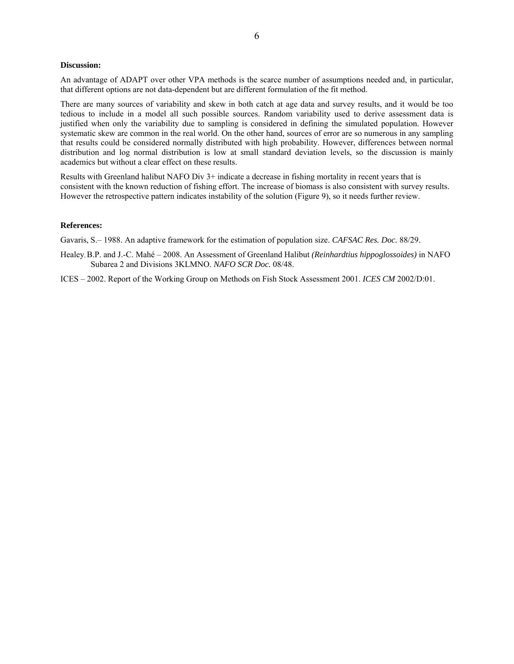### **Discussion:**

An advantage of ADAPT over other VPA methods is the scarce number of assumptions needed and, in particular, that different options are not data-dependent but are different formulation of the fit method.

There are many sources of variability and skew in both catch at age data and survey results, and it would be too tedious to include in a model all such possible sources. Random variability used to derive assessment data is justified when only the variability due to sampling is considered in defining the simulated population. However systematic skew are common in the real world. On the other hand, sources of error are so numerous in any sampling that results could be considered normally distributed with high probability. However, differences between normal distribution and log normal distribution is low at small standard deviation levels, so the discussion is mainly academics but without a clear effect on these results.

Results with Greenland halibut NAFO Div 3+ indicate a decrease in fishing mortality in recent years that is consistent with the known reduction of fishing effort. The increase of biomass is also consistent with survey results. However the retrospective pattern indicates instability of the solution (Figure 9), so it needs further review.

#### **References:**

Gavaris, S.– 1988. An adaptive framework for the estimation of population size. *CAFSAC Res. Doc.* 88/29.

Healey, B.P. and J.-C. Mahé – 2008. An Assessment of Greenland Halibut *(Reinhardtius hippoglossoides)* in NAFO Subarea 2 and Divisions 3KLMNO. *NAFO SCR Doc.* 08/48.

ICES – 2002. Report of the Working Group on Methods on Fish Stock Assessment 2001. *ICES CM* 2002/D:01.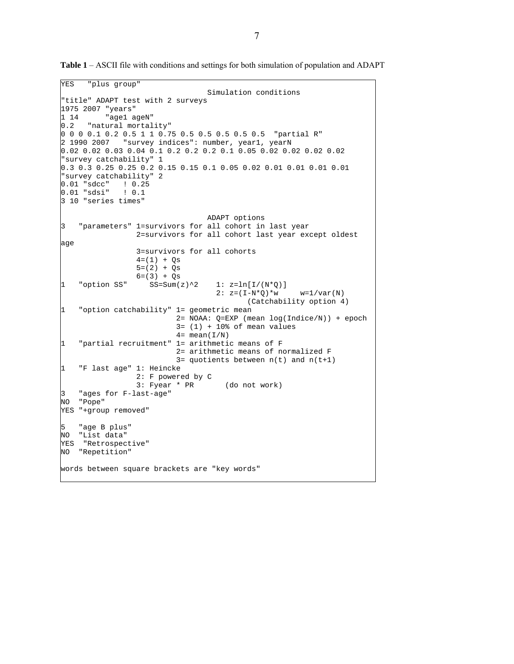```
YES "plus group" 
                                   Simulation conditions 
"title" ADAPT test with 2 surveys 
1975 2007 "years" 
1 14 "age1 ageN" 
0.2 "natural mortality" 
0 0 0 0.1 0.2 0.5 1 1 0.75 0.5 0.5 0.5 0.5 0.5 "partial R" 
2 1990 2007 "survey indices": number, year1, yearN 
0.02 0.02 0.03 0.04 0.1 0.2 0.2 0.2 0.1 0.05 0.02 0.02 0.02 0.02 
"survey catchability" 1 
0.3 0.3 0.25 0.25 0.2 0.15 0.15 0.1 0.05 0.02 0.01 0.01 0.01 0.01 
"survey catchability" 2 
0.01 "sdcc" ! 0.25<br>0.01 "sdsi" ! 0.1
0.01 "sdsi"
3 10 "series times" 
                                   ADAPT options 
3 "parameters" 1=survivors for all cohort in last year 
                  2=survivors for all cohort last year except oldest 
age 
                  3=survivors for all cohorts 
                 4=(1) + Qs5=(2) + Qs6=(3) + Qs1 "option SS" SS=Sum(z)^2 1: z=ln[I/(N^*Q)]2: z = (I - N^*Q) * w   w = 1 / var(N) (Catchability option 4) 
1 "option catchability" 1= geometric mean 
                            2= NOAA: Q=EXP (mean log(Indice/N)) + epoch 
                           3 = (1) + 10% of mean values
                          4= mean(I/N)
1 "partial recruitment" 1= arithmetic means of F 
                            2= arithmetic means of normalized F 
                           3= quotients between n(t) and n(t+1)1 "F last age" 1: Heincke 
                  2: F powered by C 
                  3: Fyear * PR (do not work) 
    "ages for F-last-age"
NO "Pope" 
YES "+group removed" 
    "age B plus"
NO "List data" 
YES "Retrospective" 
NO "Repetition" 
words between square brackets are "key words"
```
**Table 1** – ASCII file with conditions and settings for both simulation of population and ADAPT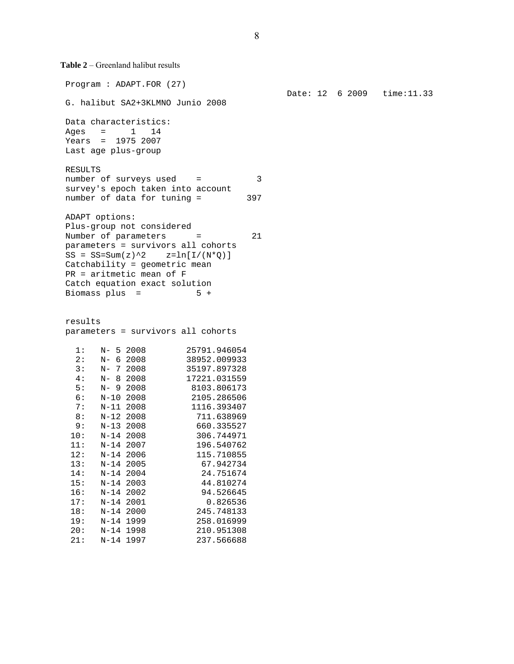**Table 2** – Greenland halibut results

 Program : ADAPT.FOR (27) G. halibut SA2+3KLMNO Junio 2008 Data characteristics: Ages  $=$  1 14 Years = 1975 2007 Last age plus-group RESULTS number of surveys used = 3 survey's epoch taken into account number of data for tuning = 397 ADAPT options: Plus-group not considered Number of parameters = 21 parameters = survivors all cohorts  $SS = SS = Sum(z)^2$   $z = ln[I/(N^*Q)]$  Catchability = geometric mean PR = aritmetic mean of F Catch equation exact solution Biomass plus =  $5 +$  results parameters = survivors all cohorts 1: N- 5 2008 25791.946054<br>2: N- 6 2008 38952.009933  $2: N- 6 2008$  3: N- 7 2008 35197.897328  $4: N- 8 2008$  5: N- 9 2008 8103.806173 6: N-10 2008 2105.286506 7: N-11 2008 1116.393407<br>8: N-12 2008 711.638969  $8: N-1222008$  9: N-13 2008 660.335527 10: N-14 2008 306.744971 11: N-14 2007 196.540762 12: N-14 2006 115.710855 13: N-14 2005 67.942734 14: N-14 2004 24.751674 15: N-14 2003 44.810274 16: N-14 2002 94.526645 17: N-14 2001 0.826536 18: N-14 2000 245.748133<br>19: N-14 1999 258.016999 19: N-14 1999 20: N-14 1998 210.951308 21: N-14 1997 237.566688

Date: 12 6 2009 time:11.33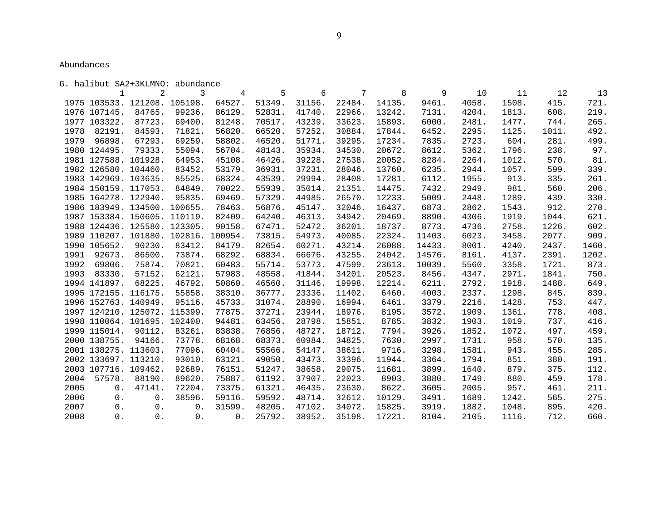Abundances

G. halibut SA2+3KLMNO: abundance

 1 2 3 4 5 6 7 8 9 10 11 12 13 1975 103533. 121208. 105198. 64527. 51349. 31156. 22484. 14135. 9461. 4058. 1508. 415. 721. 1976 107145. 84765. 99236. 86129. 52831. 41740. 22966. 13242. 7131. 4204. 1813. 608. 219. 1977 103322. 87723. 69400. 81248. 70517. 43239. 33623. 15893. 6000. 2481. 1477. 744. 265. 1978 82191. 84593. 71821. 56820. 66520. 57252. 30884. 17844. 6452. 2295. 1125. 1011. 492. 1979 96898. 67293. 69259. 58802. 46520. 51771. 39295. 17234. 7835. 2723. 604. 281. 499. 1980 124495. 79333. 55094. 56704. 48143. 35934. 34530. 20672. 8612. 5362. 1796. 238. 97. 1981 127588. 101928. 64953. 45108. 46426. 39228. 27538. 20052. 8284. 2264. 1012. 570. 81. 1982 126580. 104460. 83452. 53179. 36931. 37231. 28046. 13760. 6235. 2944. 1057. 599. 339. 1983 142969. 103635. 85525. 68324. 43539. 29994. 28408. 17281. 6112. 1955. 913. 335. 261. 1984 150159. 117053. 84849. 70022. 55939. 35014. 21351. 14475. 7432. 2949. 981. 560. 206. 1985 164278. 122940. 95835. 69469. 57329. 44985. 26570. 12233. 5009. 2448. 1289. 439. 330. 1986 183949. 134500. 100655. 78463. 56876. 45147. 32046. 16437. 6873. 2862. 1543. 912. 270. 1987 153384. 150605. 110119. 82409. 64240. 46313. 34942. 20469. 8890. 4306. 1919. 1044. 621. 1988 124436. 125580. 123305. 90158. 67471. 52472. 36201. 18737. 8773. 4736. 2758. 1226. 602. 1989 110207. 101880. 102816. 100954. 73815. 54973. 40085. 22324. 11403. 6023. 3458. 2077. 909. 1990 105652. 90230. 83412. 84179. 82654. 60271. 43214. 26088. 14433. 8001. 4240. 2437. 1460. 1991 92673. 86500. 73874. 68292. 68834. 66676. 43255. 24042. 14576. 8161. 4137. 2391. 1202. 1992 69806. 75874. 70821. 60483. 55714. 53773. 47599. 23613. 10039. 5560. 3358. 1721. 873. 1993 83330. 57152. 62121. 57983. 48558. 41844. 34201. 20523. 8456. 4347. 2971. 1841. 750. 1994 141897. 68225. 46792. 50860. 46560. 31146. 19998. 12214. 6211. 2792. 1918. 1488. 649. 1995 172155. 116175. 55858. 38310. 36777. 23336. 11402. 6460. 4003. 2337. 1298. 845. 839. 839. 1996 152763. 140949. 95116. 45733. 31074. 28890. 16994. 6461. 3379. 2216. 1428. 753. 447. 1997 124210. 125072. 115399. 77875. 37271. 23944. 18976. 8195. 3572. 1909. 1361. 778. 408. 1998 110064. 101695. 102400. 94481. 63456. 28798. 15851. 8785. 3832. 1903. 1019. 737. 416. 1999 115014. 90112. 83261. 83838. 76856. 48727. 18712. 7794. 3926. 1852. 1072. 497. 459. 2000 138755. 94166. 73778. 68168. 68373. 60984. 34825. 7630. 2997. 1731. 958. 570. 135. 2001 138275. 113603. 77096. 60404. 55566. 54147. 38611. 9716. 3298. 1581. 943. 455. 285. 2002 133697. 113210. 93010. 63121. 49050. 43473. 33396. 11944. 3364. 1794. 851. 380. 191. 2003 107716. 109462. 92689. 76151. 51247. 38658. 29075. 11681. 3899. 1640. 879. 375. 112. 2004 57578. 88190. 89620. 75887. 61192. 37907. 22023. 8903. 3880. 1749. 880. 459. 178. 178. 2005 0. 47141. 72204. 73375. 61321. 46435. 23630. 8622. 3605. 2005. 957. 461. 211. 2006 0. 0. 38596. 59116. 59592. 48714. 32612. 10129. 3491. 1689. 1242. 565. 275. 2007 0. 0. 0. 31599. 48205. 47102. 34072. 15825. 3919. 1882. 1048. 895. 420. 2008 0. 0. 0. 0. 25792. 38952. 35198. 17221. 8104. 2105. 1116. 712. 660.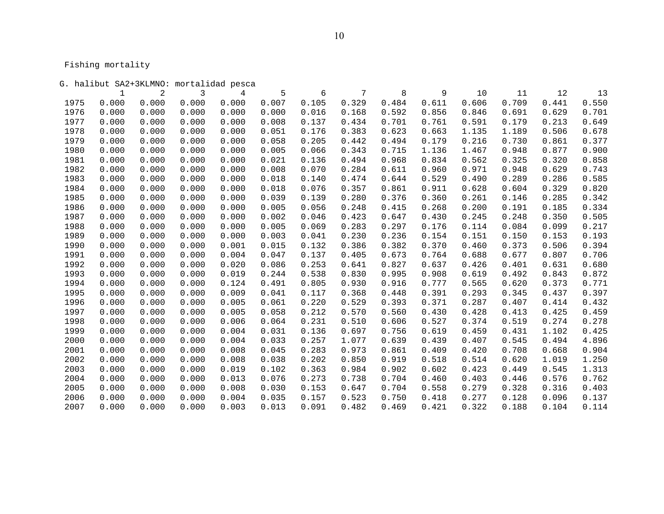Fishing mortality

|      | G. halibut SA2+3KLMNO: mortalidad pesca |       |       |       |       |       |       |       |       |       |       |       |       |
|------|-----------------------------------------|-------|-------|-------|-------|-------|-------|-------|-------|-------|-------|-------|-------|
|      | 1                                       | 2     | 3     | 4     | 5     | 6     | 7     | 8     | 9     | 10    | 11    | 12    | 13    |
| 1975 | 0.000                                   | 0.000 | 0.000 | 0.000 | 0.007 | 0.105 | 0.329 | 0.484 | 0.611 | 0.606 | 0.709 | 0.441 | 0.550 |
| 1976 | 0.000                                   | 0.000 | 0.000 | 0.000 | 0.000 | 0.016 | 0.168 | 0.592 | 0.856 | 0.846 | 0.691 | 0.629 | 0.701 |
| 1977 | 0.000                                   | 0.000 | 0.000 | 0.000 | 0.008 | 0.137 | 0.434 | 0.701 | 0.761 | 0.591 | 0.179 | 0.213 | 0.649 |
| 1978 | 0.000                                   | 0.000 | 0.000 | 0.000 | 0.051 | 0.176 | 0.383 | 0.623 | 0.663 | 1.135 | 1.189 | 0.506 | 0.678 |
| 1979 | 0.000                                   | 0.000 | 0.000 | 0.000 | 0.058 | 0.205 | 0.442 | 0.494 | 0.179 | 0.216 | 0.730 | 0.861 | 0.377 |
| 1980 | 0.000                                   | 0.000 | 0.000 | 0.000 | 0.005 | 0.066 | 0.343 | 0.715 | 1.136 | 1.467 | 0.948 | 0.877 | 0.900 |
| 1981 | 0.000                                   | 0.000 | 0.000 | 0.000 | 0.021 | 0.136 | 0.494 | 0.968 | 0.834 | 0.562 | 0.325 | 0.320 | 0.858 |
| 1982 | 0.000                                   | 0.000 | 0.000 | 0.000 | 0.008 | 0.070 | 0.284 | 0.611 | 0.960 | 0.971 | 0.948 | 0.629 | 0.743 |
| 1983 | 0.000                                   | 0.000 | 0.000 | 0.000 | 0.018 | 0.140 | 0.474 | 0.644 | 0.529 | 0.490 | 0.289 | 0.286 | 0.585 |
| 1984 | 0.000                                   | 0.000 | 0.000 | 0.000 | 0.018 | 0.076 | 0.357 | 0.861 | 0.911 | 0.628 | 0.604 | 0.329 | 0.820 |
| 1985 | 0.000                                   | 0.000 | 0.000 | 0.000 | 0.039 | 0.139 | 0.280 | 0.376 | 0.360 | 0.261 | 0.146 | 0.285 | 0.342 |
| 1986 | 0.000                                   | 0.000 | 0.000 | 0.000 | 0.005 | 0.056 | 0.248 | 0.415 | 0.268 | 0.200 | 0.191 | 0.185 | 0.334 |
| 1987 | 0.000                                   | 0.000 | 0.000 | 0.000 | 0.002 | 0.046 | 0.423 | 0.647 | 0.430 | 0.245 | 0.248 | 0.350 | 0.505 |
| 1988 | 0.000                                   | 0.000 | 0.000 | 0.000 | 0.005 | 0.069 | 0.283 | 0.297 | 0.176 | 0.114 | 0.084 | 0.099 | 0.217 |
| 1989 | 0.000                                   | 0.000 | 0.000 | 0.000 | 0.003 | 0.041 | 0.230 | 0.236 | 0.154 | 0.151 | 0.150 | 0.153 | 0.193 |
| 1990 | 0.000                                   | 0.000 | 0.000 | 0.001 | 0.015 | 0.132 | 0.386 | 0.382 | 0.370 | 0.460 | 0.373 | 0.506 | 0.394 |
| 1991 | 0.000                                   | 0.000 | 0.000 | 0.004 | 0.047 | 0.137 | 0.405 | 0.673 | 0.764 | 0.688 | 0.677 | 0.807 | 0.706 |
| 1992 | 0.000                                   | 0.000 | 0.000 | 0.020 | 0.086 | 0.253 | 0.641 | 0.827 | 0.637 | 0.426 | 0.401 | 0.631 | 0.680 |
| 1993 | 0.000                                   | 0.000 | 0.000 | 0.019 | 0.244 | 0.538 | 0.830 | 0.995 | 0.908 | 0.619 | 0.492 | 0.843 | 0.872 |
| 1994 | 0.000                                   | 0.000 | 0.000 | 0.124 | 0.491 | 0.805 | 0.930 | 0.916 | 0.777 | 0.565 | 0.620 | 0.373 | 0.771 |
| 1995 | 0.000                                   | 0.000 | 0.000 | 0.009 | 0.041 | 0.117 | 0.368 | 0.448 | 0.391 | 0.293 | 0.345 | 0.437 | 0.397 |
| 1996 | 0.000                                   | 0.000 | 0.000 | 0.005 | 0.061 | 0.220 | 0.529 | 0.393 | 0.371 | 0.287 | 0.407 | 0.414 | 0.432 |
| 1997 | 0.000                                   | 0.000 | 0.000 | 0.005 | 0.058 | 0.212 | 0.570 | 0.560 | 0.430 | 0.428 | 0.413 | 0.425 | 0.459 |
| 1998 | 0.000                                   | 0.000 | 0.000 | 0.006 | 0.064 | 0.231 | 0.510 | 0.606 | 0.527 | 0.374 | 0.519 | 0.274 | 0.278 |
| 1999 | 0.000                                   | 0.000 | 0.000 | 0.004 | 0.031 | 0.136 | 0.697 | 0.756 | 0.619 | 0.459 | 0.431 | 1.102 | 0.425 |
| 2000 | 0.000                                   | 0.000 | 0.000 | 0.004 | 0.033 | 0.257 | 1.077 | 0.639 | 0.439 | 0.407 | 0.545 | 0.494 | 4.896 |
| 2001 | 0.000                                   | 0.000 | 0.000 | 0.008 | 0.045 | 0.283 | 0.973 | 0.861 | 0.409 | 0.420 | 0.708 | 0.668 | 0.904 |
| 2002 | 0.000                                   | 0.000 | 0.000 | 0.008 | 0.038 | 0.202 | 0.850 | 0.919 | 0.518 | 0.514 | 0.620 | 1.019 | 1.250 |
| 2003 | 0.000                                   | 0.000 | 0.000 | 0.019 | 0.102 | 0.363 | 0.984 | 0.902 | 0.602 | 0.423 | 0.449 | 0.545 | 1.313 |
| 2004 | 0.000                                   | 0.000 | 0.000 | 0.013 | 0.076 | 0.273 | 0.738 | 0.704 | 0.460 | 0.403 | 0.446 | 0.576 | 0.762 |
| 2005 | 0.000                                   | 0.000 | 0.000 | 0.008 | 0.030 | 0.153 | 0.647 | 0.704 | 0.558 | 0.279 | 0.328 | 0.316 | 0.403 |
| 2006 | 0.000                                   | 0.000 | 0.000 | 0.004 | 0.035 | 0.157 | 0.523 | 0.750 | 0.418 | 0.277 | 0.128 | 0.096 | 0.137 |
| 2007 | 0.000                                   | 0.000 | 0.000 | 0.003 | 0.013 | 0.091 | 0.482 | 0.469 | 0.421 | 0.322 | 0.188 | 0.104 | 0.114 |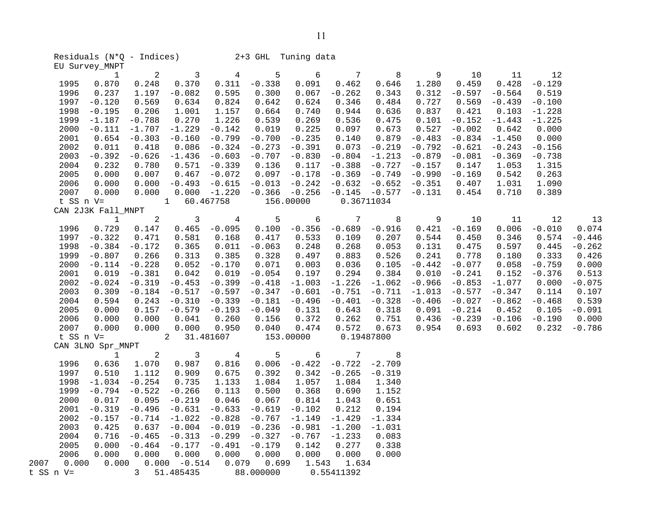|              | EU Survey_MNPT     |                | Residuals $(N^*Q - Indices)$ 2+3 GHL Tuning data |                 |                   |                |                        |                            |                |                   |          |                   |          |
|--------------|--------------------|----------------|--------------------------------------------------|-----------------|-------------------|----------------|------------------------|----------------------------|----------------|-------------------|----------|-------------------|----------|
|              |                    | $\overline{2}$ |                                                  | $\overline{4}$  |                   | 6              | $7\overline{ }$        |                            |                |                   |          | 12                |          |
|              | $\mathbf{1}$       |                | $\overline{\phantom{a}}$                         |                 | 5                 |                |                        | $\overline{\phantom{1}}$ 8 | 9              | 10                | 11       |                   |          |
| 1995<br>1996 | 0.870              | 0.248<br>1.197 | 0.370<br>$-0.082$                                | 0.311<br>0.595  | $-0.338$<br>0.300 | 0.091<br>0.067 | 0.462<br>$-0.262$      | 0.646                      | 1.280<br>0.312 | 0.459<br>$-0.597$ | 0.428    | $-0.129$<br>0.519 |          |
|              | 0.237              |                |                                                  |                 |                   |                |                        | 0.343                      |                |                   | $-0.564$ |                   |          |
| 1997         | $-0.120$           | 0.569          | 0.634                                            | 0.824           | 0.642             | 0.624          | 0.346                  | 0.484                      | 0.727          | 0.569             | $-0.439$ | $-0.100$          |          |
| 1998         | $-0.195$           | 0.206          | 1.001                                            | 1.157           | 0.664             | 0.740          | 0.944                  | 0.636                      | 0.837          | 0.421             | 0.103    | $-1.228$          |          |
| 1999         | $-1.187$           | $-0.788$       | 0.270                                            | 1.226           | 0.539             | 0.269          | 0.536                  | 0.475                      | 0.101          | $-0.152$          | $-1.443$ | $-1.225$          |          |
| 2000         | $-0.111$           | $-1.707$       | $-1.229$                                         | $-0.142$        | 0.019             | 0.225          | 0.097                  | 0.673                      | 0.527          | $-0.002$          | 0.642    | 0.000             |          |
| 2001         | 0.654              | $-0.303$       | $-0.160$                                         | $-0.799$        | $-0.700$          | $-0.235$       | 0.140                  | 0.879                      | $-0.483$       | $-0.834$          | $-1.450$ | 0.000             |          |
| 2002         | 0.011              | 0.418          | 0.086                                            | $-0.324$        | $-0.273$          | $-0.391$       | 0.073                  | $-0.219$                   | $-0.792$       | $-0.621$          | $-0.243$ | $-0.156$          |          |
| 2003         | $-0.392$           | $-0.626$       | $-1.436$                                         | $-0.603$        | $-0.707$          | $-0.830$       | $-0.804$               | $-1.213$                   | $-0.879$       | $-0.081$          | $-0.369$ | $-0.738$          |          |
| 2004         | 0.232              | 0.780          | 0.571                                            | $-0.339$        | 0.136             | 0.117          | $-0.388$               | $-0.727$                   | $-0.157$       | 0.147             | 1.053    | 1.315             |          |
| 2005         | 0.000              | 0.007          | 0.467                                            | $-0.072$        | 0.097             | $-0.178$       | $-0.369$               | $-0.749$                   | $-0.990$       | $-0.169$          | 0.542    | 0.263             |          |
| 2006         | 0.000              | 0.000          | $-0.493$                                         | $-0.615$        | $-0.013$          | $-0.242$       | $-0.632$               | $-0.652$                   | $-0.351$       | 0.407             | 1.031    | 1.090             |          |
| 2007         | 0.000              | 0.000          |                                                  | $0.000 - 1.220$ | $-0.366$          |                | $-0.256 -0.145 -0.577$ |                            | $-0.131$       | 0.454             | 0.710    | 0.389             |          |
| t SS n V=    |                    | $\overline{1}$ |                                                  | 60.467758       |                   | 156.00000      |                        | 0.36711034                 |                |                   |          |                   |          |
|              | CAN 2J3K Fall_MNPT |                |                                                  |                 |                   |                |                        |                            |                |                   |          |                   |          |
|              | $\mathbf{1}$       | $\overline{2}$ | $\overline{3}$                                   | $\overline{4}$  | 5                 | 6              | $7\phantom{.0}$        | 8                          | 9              | 10                | 11       | 12                | 13       |
| 1996         | 0.729              | 0.147          | 0.465                                            | $-0.095$        | 0.100             | $-0.356$       | $-0.689$               | $-0.916$                   | 0.421          | $-0.169$          | 0.006    | $-0.010$          | 0.074    |
| 1997         | $-0.322$           | 0.471          | 0.581                                            | 0.168           | 0.417             | 0.533          | 0.109                  | 0.207                      | 0.544          | 0.450             | 0.346    | 0.574             | $-0.446$ |
| 1998         | $-0.384$           | $-0.172$       | 0.365                                            | 0.011           | $-0.063$          | 0.248          | 0.268                  | 0.053                      | 0.131          | 0.475             | 0.597    | 0.445             | $-0.262$ |
| 1999         | $-0.807$           | 0.266          | 0.313                                            | 0.385           | 0.328             | 0.497          | 0.883                  | 0.526                      | 0.241          | 0.778             | 0.180    | 0.333             | 0.426    |
| 2000         | $-0.114$           | $-0.228$       | 0.052                                            | $-0.170$        | 0.071             | 0.003          | 0.036                  | 0.105                      | $-0.442$       | $-0.077$          | 0.058    | $-0.759$          | 0.000    |
| 2001         | 0.019              | $-0.381$       | 0.042                                            | 0.019           | $-0.054$          | 0.197          | 0.294                  | 0.384                      | 0.010          | $-0.241$          | 0.152    | $-0.376$          | 0.513    |
| 2002         | $-0.024$           | $-0.319$       | $-0.453$                                         | $-0.399$        | $-0.418$          | $-1.003$       | $-1.226$               | $-1.062$                   | $-0.966$       | $-0.853$          | $-1.077$ | 0.000             | $-0.075$ |
| 2003         | 0.309              | $-0.184$       | $-0.517$                                         | $-0.597$        | $-0.347$          | $-0.601$       | $-0.751$               | $-0.711$                   | $-1.013$       | $-0.577$          | $-0.347$ | 0.114             | 0.107    |
| 2004         | 0.594              | 0.243          | $-0.310$                                         | $-0.339$        | $-0.181$          | $-0.496$       | $-0.401$               | $-0.328$                   | $-0.406$       | $-0.027$          | $-0.862$ | $-0.468$          | 0.539    |
| 2005         | 0.000              | 0.157          | $-0.579$                                         | $-0.193$        | $-0.049$          | 0.131          | 0.643                  | 0.318                      | 0.091          | $-0.214$          | 0.452    | 0.105             | $-0.091$ |
| 2006         | 0.000              | 0.000          | 0.041                                            | 0.260           | 0.156             | 0.372          | 0.262                  | 0.751                      | 0.436          | $-0.239$          | $-0.106$ | $-0.190$          | 0.000    |
| 2007         | 0.000              | 0.000          | 0.000                                            | 0.950           | 0.040             | 0.474          | 0.572                  | 0.673                      | 0.954          | 0.693             | 0.602    | 0.232             | $-0.786$ |
| t SS n V=    |                    | $\sim$ 2       |                                                  | 31.481607       | 153.00000         |                |                        | 0.19487800                 |                |                   |          |                   |          |
|              | CAN 3LNO Spr_MNPT  |                |                                                  |                 |                   |                |                        |                            |                |                   |          |                   |          |
|              | $\mathbf{1}$       | $\overline{2}$ | $\sim$ 3                                         | 4               | 5                 | 6              | $7\phantom{.0}$        | 8                          |                |                   |          |                   |          |
| 1996         | 0.636              | 1.070          | 0.987                                            | 0.816           | 0.006             | $-0.422$       | $-0.722 - 2.709$       |                            |                |                   |          |                   |          |
| 1997         | 0.510              | 1.112          | 0.909                                            | 0.675           | 0.392             | 0.342          | $-0.265$               | $-0.319$                   |                |                   |          |                   |          |
| 1998         | $-1.034$           | $-0.254$       | 0.735                                            | 1.133           | 1.084             | 1.057          | 1.084                  | 1.340                      |                |                   |          |                   |          |
| 1999         | $-0.794$           | $-0.522$       | $-0.266$                                         | 0.113           | 0.500             | 0.368          | 0.690                  | 1.152                      |                |                   |          |                   |          |
| 2000         | 0.017              | 0.095          | $-0.219$                                         | 0.046           | 0.067             | 0.814          | 1.043                  | 0.651                      |                |                   |          |                   |          |
| 2001         | $-0.319$           | $-0.496$       | $-0.631$                                         | $-0.633$        | $-0.619$          | $-0.102$       | 0.212                  | 0.194                      |                |                   |          |                   |          |
| 2002         | $-0.157$           | $-0.714$       | $-1.022$                                         | $-0.828$        | $-0.767$          | $-1.149$       | $-1.429$               | $-1.334$                   |                |                   |          |                   |          |
|              | $2003$ $0.425$     |                | 0 637 -0 004 -0 019 -0 236 -0 981 -1 200 -1 031  |                 |                   |                |                        |                            |                |                   |          |                   |          |

 2003 0.425 0.637 -0.004 -0.019 -0.236 -0.981 -1.200 -1.031 2004 0.716 -0.465 -0.313 -0.299 -0.327 -0.767 -1.233 0.083 2005 0.000 -0.464 -0.177 -0.491 -0.179 0.142 0.277 0.338 2006 0.000 0.000 0.000 0.000 0.000 0.000 0.000 0.000 2007 0.000 0.000 0.000 -0.514 0.079 0.699 1.543 1.634 t SS n V= 3 51.485435 88.000000 0.55411392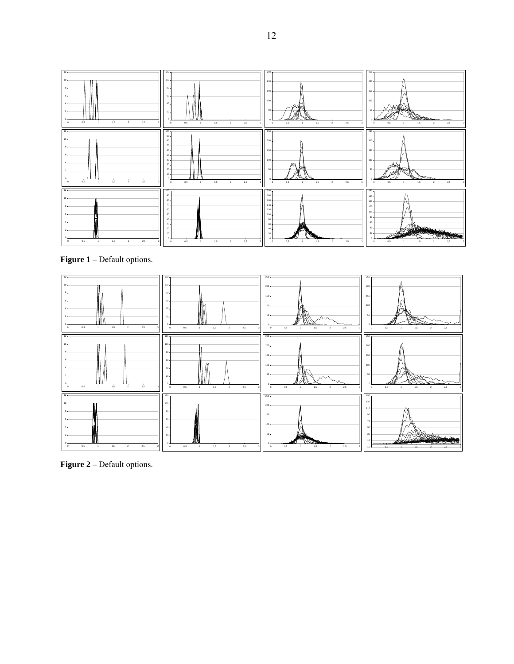

**Figure 1 – Default options.** 



Figure 2 – Default options.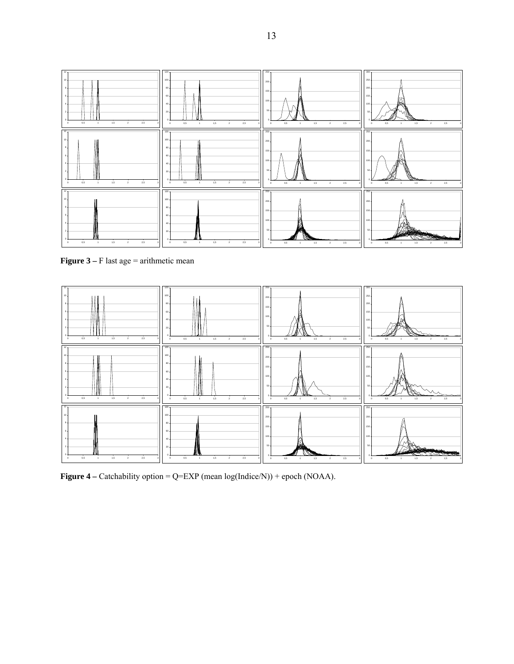

**Figure 3** – F last age = arithmetic mean



**Figure 4** – Catchability option = Q=EXP (mean log(Indice/N)) + epoch (NOAA).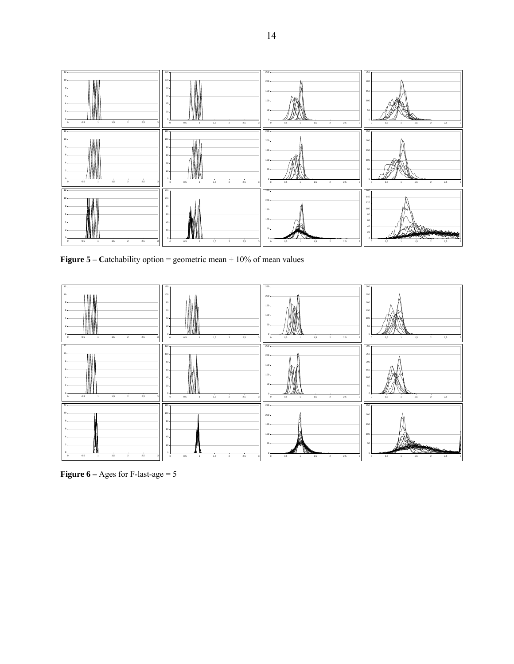

**Figure 5 – Catchability option = geometric mean + 10% of mean values** 



**Figure 6** – Ages for F-last-age  $= 5$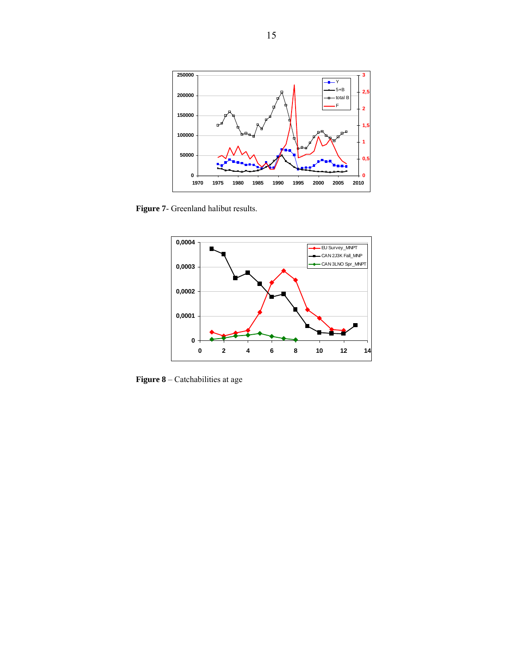

**Figure 7**- Greenland halibut results.



**Figure 8** – Catchabilities at age